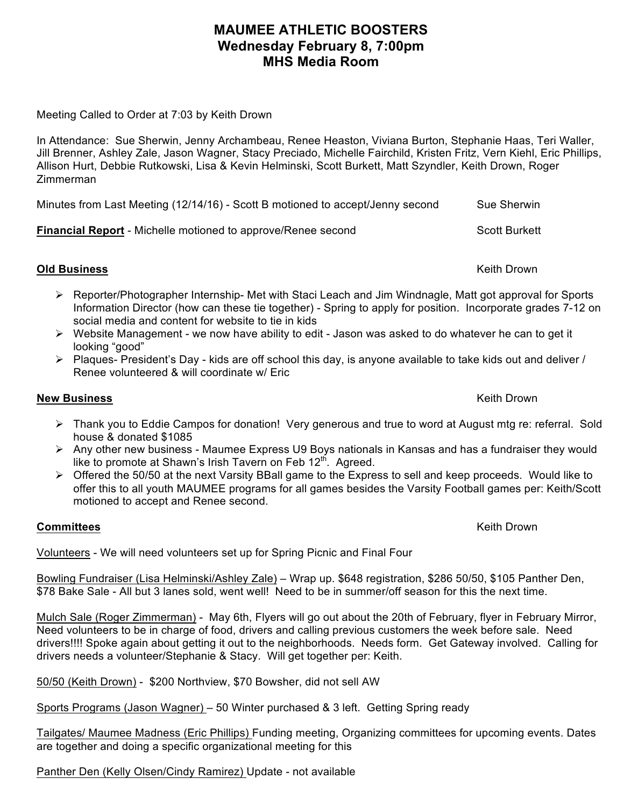## **MAUMEE ATHLETIC BOOSTERS Wednesday February 8, 7:00pm MHS Media Room**

Meeting Called to Order at 7:03 by Keith Drown

In Attendance: Sue Sherwin, Jenny Archambeau, Renee Heaston, Viviana Burton, Stephanie Haas, Teri Waller, Jill Brenner, Ashley Zale, Jason Wagner, Stacy Preciado, Michelle Fairchild, Kristen Fritz, Vern Kiehl, Eric Phillips, Allison Hurt, Debbie Rutkowski, Lisa & Kevin Helminski, Scott Burkett, Matt Szyndler, Keith Drown, Roger Zimmerman

Minutes from Last Meeting (12/14/16) - Scott B motioned to accept/Jenny second Sue Sherwin

**Financial Report** - Michelle motioned to approve/Renee second Scott Burkett

Ø Reporter/Photographer Internship- Met with Staci Leach and Jim Windnagle, Matt got approval for Sports Information Director (how can these tie together) - Spring to apply for position. Incorporate grades 7-12 on social media and content for website to tie in kids

- $\triangleright$  Website Management we now have ability to edit Jason was asked to do whatever he can to get it looking "good"
- $\triangleright$  Plagues- President's Day kids are off school this day, is anyone available to take kids out and deliver / Renee volunteered & will coordinate w/ Eric

## **New Business** Keith Drown and the United States of the United States of the United States of the United States of the United States of the United States of the United States of the United States of the United States of th

- Ø Thank you to Eddie Campos for donation! Very generous and true to word at August mtg re: referral. Sold house & donated \$1085
- $\triangleright$  Any other new business Maumee Express U9 Boys nationals in Kansas and has a fundraiser they would like to promote at Shawn's Irish Tavern on Feb 12<sup>th</sup>. Agreed.
- $\triangleright$  Offered the 50/50 at the next Varsity BBall game to the Express to sell and keep proceeds. Would like to offer this to all youth MAUMEE programs for all games besides the Varsity Football games per: Keith/Scott motioned to accept and Renee second.

## **Committees** Keith Drown New York 1999, New York 1999, New York 1999, New York 1999, New York 1999, New York 199

Volunteers - We will need volunteers set up for Spring Picnic and Final Four

Bowling Fundraiser (Lisa Helminski/Ashley Zale) – Wrap up. \$648 registration, \$286 50/50, \$105 Panther Den, \$78 Bake Sale - All but 3 lanes sold, went well! Need to be in summer/off season for this the next time.

Mulch Sale (Roger Zimmerman) - May 6th, Flyers will go out about the 20th of February, flyer in February Mirror, Need volunteers to be in charge of food, drivers and calling previous customers the week before sale. Need drivers!!!! Spoke again about getting it out to the neighborhoods. Needs form. Get Gateway involved. Calling for drivers needs a volunteer/Stephanie & Stacy. Will get together per: Keith.

50/50 (Keith Drown) - \$200 Northview, \$70 Bowsher, did not sell AW

Sports Programs (Jason Wagner) – 50 Winter purchased & 3 left. Getting Spring ready

Tailgates/ Maumee Madness (Eric Phillips) Funding meeting, Organizing committees for upcoming events. Dates are together and doing a specific organizational meeting for this

Panther Den (Kelly Olsen/Cindy Ramirez) Update - not available

**Old Business** Keith Drown **Keith Drown** (*Cold Business* Keith Drown ) (*Cold Business* Keith Drown )